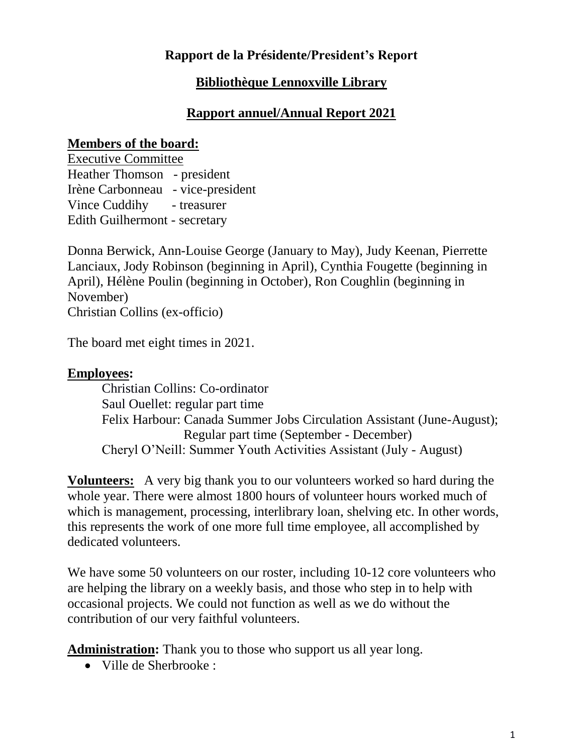### **Rapport de la Présidente/President's Report**

### **Bibliothèque Lennoxville Library**

### **Rapport annuel/Annual Report 2021**

#### **Members of the board:**

Executive Committee Heather Thomson - president Irène Carbonneau - vice-president Vince Cuddihy - treasurer Edith Guilhermont - secretary

Donna Berwick, Ann-Louise George (January to May), Judy Keenan, Pierrette Lanciaux, Jody Robinson (beginning in April), Cynthia Fougette (beginning in April), Hélène Poulin (beginning in October), Ron Coughlin (beginning in November) Christian Collins (ex-officio)

The board met eight times in 2021.

### **Employees:**

 Christian Collins: Co-ordinator Saul Ouellet: regular part time Felix Harbour: Canada Summer Jobs Circulation Assistant (June-August); Regular part time (September - December) Cheryl O'Neill: Summer Youth Activities Assistant (July - August)

**Volunteers:** A very big thank you to our volunteers worked so hard during the whole year. There were almost 1800 hours of volunteer hours worked much of which is management, processing, interlibrary loan, shelving etc. In other words, this represents the work of one more full time employee, all accomplished by dedicated volunteers.

We have some 50 volunteers on our roster, including 10-12 core volunteers who are helping the library on a weekly basis, and those who step in to help with occasional projects. We could not function as well as we do without the contribution of our very faithful volunteers.

**Administration:** Thank you to those who support us all year long.

Ville de Sherbrooke :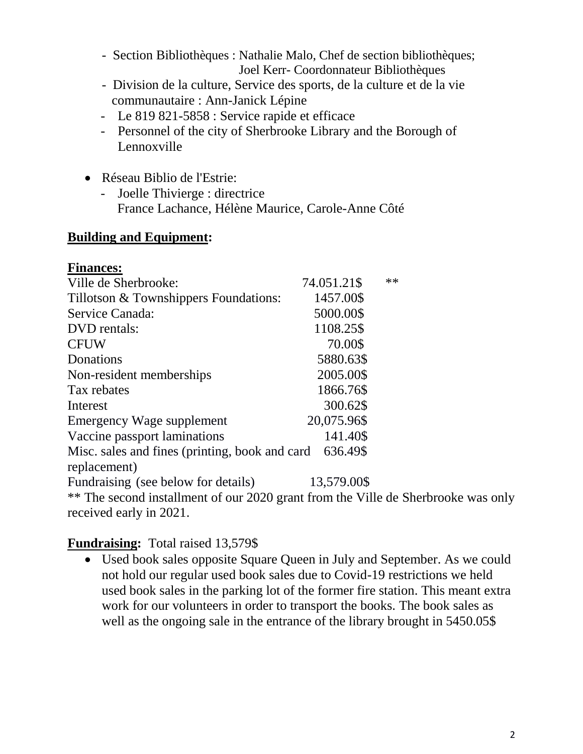- Section Bibliothèques : Nathalie Malo, Chef de section bibliothèques; Joel Kerr- Coordonnateur Bibliothèques
- Division de la culture, Service des sports, de la culture et de la vie communautaire : Ann-Janick Lépine
- Le 819 821-5858 : Service rapide et efficace
- Personnel of the city of Sherbrooke Library and the Borough of Lennoxville
- Réseau Biblio de l'Estrie:
	- Joelle Thivierge : directrice France Lachance, Hélène Maurice, Carole-Anne Côté

### **Building and Equipment:**

| <b>Finances:</b>                                                                  |             |       |
|-----------------------------------------------------------------------------------|-------------|-------|
| Ville de Sherbrooke:                                                              | 74.051.21\$ | $***$ |
| Tillotson & Townshippers Foundations:                                             | 1457.00\$   |       |
| Service Canada:                                                                   | 5000.00\$   |       |
| DVD rentals:                                                                      | 1108.25\$   |       |
| <b>CFUW</b>                                                                       | 70.00\$     |       |
| Donations                                                                         | 5880.63\$   |       |
| Non-resident memberships                                                          | 2005.00\$   |       |
| Tax rebates                                                                       | 1866.76\$   |       |
| Interest                                                                          | 300.62\$    |       |
| Emergency Wage supplement                                                         | 20,075.96\$ |       |
| Vaccine passport laminations                                                      | 141.40\$    |       |
| Misc. sales and fines (printing, book and card)                                   | 636.49\$    |       |
| replacement)                                                                      |             |       |
| Fundraising (see below for details)                                               | 13,579.00\$ |       |
| ** The second installment of our 2020 grant from the Ville de Sherbrooke was only |             |       |
| received early in 2021.                                                           |             |       |

## **Fundraising:** Total raised 13,579\$

 Used book sales opposite Square Queen in July and September. As we could not hold our regular used book sales due to Covid-19 restrictions we held used book sales in the parking lot of the former fire station. This meant extra work for our volunteers in order to transport the books. The book sales as well as the ongoing sale in the entrance of the library brought in 5450.05\$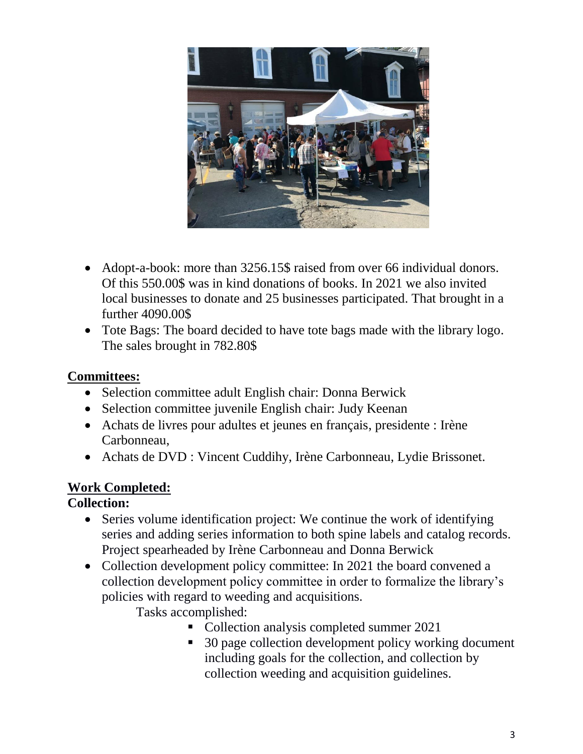

- Adopt-a-book: more than 3256.15\$ raised from over 66 individual donors. Of this 550.00\$ was in kind donations of books. In 2021 we also invited local businesses to donate and 25 businesses participated. That brought in a further 4090.00\$
- Tote Bags: The board decided to have tote bags made with the library logo. The sales brought in 782.80\$

### **Committees:**

- Selection committee adult English chair: Donna Berwick
- Selection committee juvenile English chair: Judy Keenan
- Achats de livres pour adultes et jeunes en français, presidente : Irène Carbonneau,
- Achats de DVD : Vincent Cuddihy, Irène Carbonneau, Lydie Brissonet.

# **Work Completed:**

## **Collection:**

- Series volume identification project: We continue the work of identifying series and adding series information to both spine labels and catalog records. Project spearheaded by Irène Carbonneau and Donna Berwick
- Collection development policy committee: In 2021 the board convened a collection development policy committee in order to formalize the library's policies with regard to weeding and acquisitions.

Tasks accomplished:

- Collection analysis completed summer 2021
- 30 page collection development policy working document including goals for the collection, and collection by collection weeding and acquisition guidelines.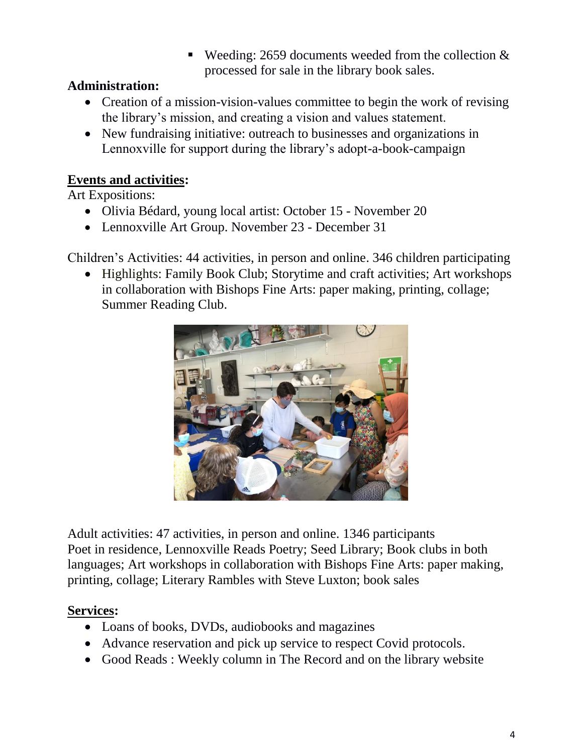**Weeding: 2659 documents weeded from the collection**  $\&$ processed for sale in the library book sales.

# **Administration:**

- Creation of a mission-vision-values committee to begin the work of revising the library's mission, and creating a vision and values statement.
- New fundraising initiative: outreach to businesses and organizations in Lennoxville for support during the library's adopt-a-book-campaign

# **Events and activities:**

Art Expositions:

- Olivia Bédard, young local artist: October 15 November 20
- Lennoxville Art Group. November 23 December 31

Children's Activities: 44 activities, in person and online. 346 children participating

• Highlights: Family Book Club; Storytime and craft activities; Art workshops in collaboration with Bishops Fine Arts: paper making, printing, collage; Summer Reading Club.



Adult activities: 47 activities, in person and online. 1346 participants Poet in residence, Lennoxville Reads Poetry; Seed Library; Book clubs in both languages; Art workshops in collaboration with Bishops Fine Arts: paper making, printing, collage; Literary Rambles with Steve Luxton; book sales

# **Services:**

- Loans of books, DVDs, audiobooks and magazines
- Advance reservation and pick up service to respect Covid protocols.
- Good Reads: Weekly column in The Record and on the library website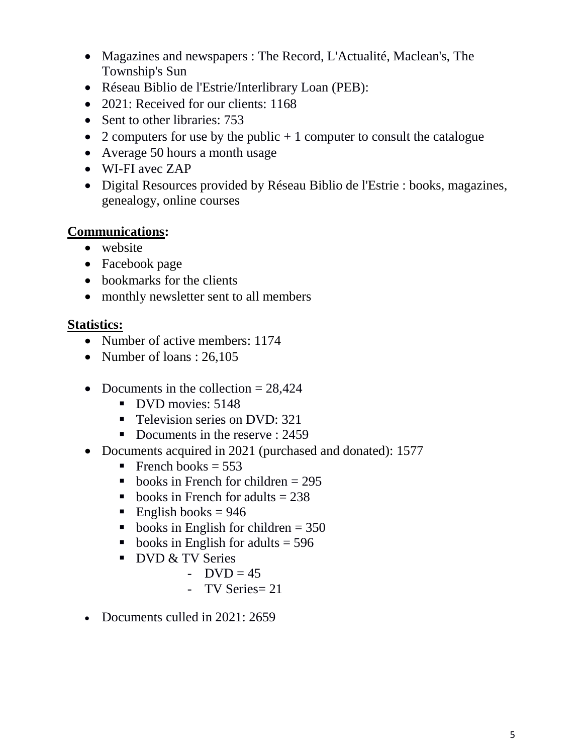- Magazines and newspapers : The Record, L'Actualité, Maclean's, The Township's Sun
- Réseau Biblio de l'Estrie/Interlibrary Loan (PEB):
- 2021: Received for our clients: 1168
- Sent to other libraries: 753
- 2 computers for use by the public  $+1$  computer to consult the catalogue
- Average 50 hours a month usage
- WI-FI avec ZAP
- Digital Resources provided by Réseau Biblio de l'Estrie : books, magazines, genealogy, online courses

## **Communications:**

- website
- Facebook page
- bookmarks for the clients
- monthly newsletter sent to all members

### **Statistics:**

- Number of active members: 1174
- Number of loans :  $26,105$
- Documents in the collection  $= 28.424$ 
	- DVD movies: 5148
	- **Television series on DVD: 321**
	- Documents in the reserve : 2459
- Documents acquired in 2021 (purchased and donated): 1577
	- French books =  $553$
	- books in French for children  $= 295$
	- books in French for adults  $= 238$
	- English books =  $946$
	- books in English for children  $= 350$
	- books in English for adults  $=$  596
	- DVD & TV Series
		- $-$  DVD = 45
		- TV Series= 21
- Documents culled in 2021: 2659